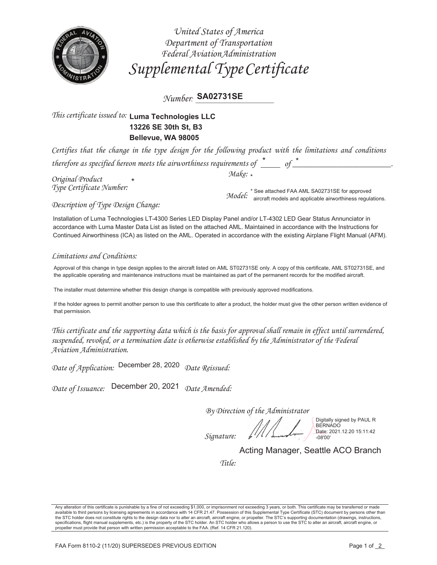

United States of America Department of Transportation Federal Aviation Administration Supplemental Type Certificate

 $Number$  SA02731SE

## This certificate issued to: Luma Technologies LLC 13226 SE 30th St. B3 Bellevue, WA 98005

Certifies that the change in the type design for the following product with the limitations and conditions therefore as specified hereon meets the airworthiness requirements of  $\stackrel{*}{\rule{0pt}{0.5pt}}\,$  of  $\stackrel{*}{\rule{0pt}{0.5pt}}$ 

Original Product Type Certificate Number:  $Make: *$ 

 $\emph{Model:}^*$  See attached FAA AML SA02731SE for approved<br> $\emph{Model:}^*$  aircraft models and applicable airworthiness regulations.

Description of Type Design Change:

Installation of Luma Technologies LT-4300 Series LED Display Panel and/or LT-4302 LED Gear Status Annunciator in accordance with Luma Master Data List as listed on the attached AML. Maintained in accordance with the Instructions for Continued Airworthiness (ICA) as listed on the AML. Operated in accordance with the existing Airplane Flight Manual (AFM).

## Limitations and Conditions:

Approval of this change in type design applies to the aircraft listed on AML ST02731SE only. A copy of this certificate, AML ST02731SE, and the applicable operating and maintenance instructions must be maintained as part of the permanent records for the modified aircraft.

The installer must determine whether this design change is compatible with previously approved modifications.

If the holder agrees to permit another person to use this certificate to alter a product, the holder must give the other person written evidence of that permission.

This certificate and the supporting data which is the basis for approval shall remain in effect until surrendered, suspended, revoked, or a termination date is otherwise established by the Administrator of the Federal Aviation Administration.

Date of Application: December 28, 2020 Date Reissued:

Date of Issuance: December 20, 2021 Date Amended:

By Direction of the Administrator

Signature:

Digitally signed by PAUL R **BERNADO** Date: 2021.12.20 15:11:42

Acting Manager, Seattle ACO Branch

Title:

Any alteration of this certificate is punishable by a fine of not exceeding \$1,000, or imprisonment not exceeding 3 years, or both. This certificate may be transferred or made available to third persons by licensing agreem the STC holder does not constitute rights to the design data nor to alter an aircraft, aircraft engine, or propeller. The STC's supporting documentation (drawings, instructions, specifications, flight manual supplements, etc.) is the property of the STC holder. An STC holder who allows a person to use the STC to alter an aircraft, aircraft engine, or propeller must provide that person with written permission acceptable to the FAA. (Ref. 14 CFR 21.120).